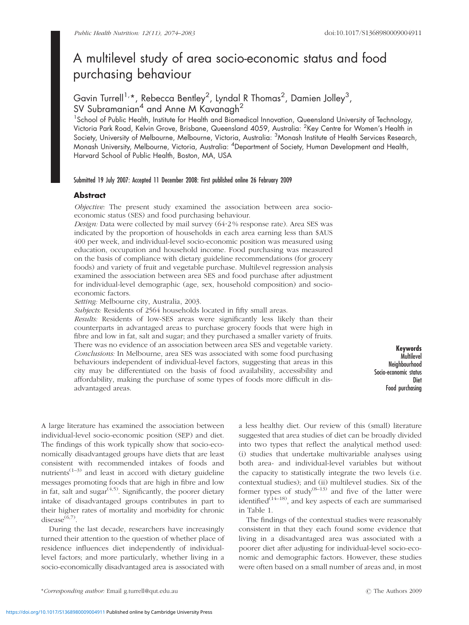# A multilevel study of area socio-economic status and food purchasing behaviour

## Gavin Turrell<sup>1,</sup>\*, Rebecca Bentley<sup>2</sup>, Lyndal R Thomas<sup>2</sup>, Damien Jolley<sup>3</sup>, SV Subramanian<sup>4</sup> and Anne M Kavanagh<sup>2</sup>

<sup>1</sup> School of Public Health, Institute for Health and Biomedical Innovation, Queensland University of Technology, Victoria Park Road, Kelvin Grove, Brisbane, Queensland 4059, Australia: <sup>2</sup>Key Centre for Women's Health in Society, University of Melbourne, Melbourne, Victoria, Australia: <sup>3</sup>Monash Institute of Health Services Research, Monash University, Melbourne, Victoria, Australia: <sup>4</sup> Department of Society, Human Development and Health, Harvard School of Public Health, Boston, MA, USA

#### Submitted 19 July 2007: Accepted 11 December 2008: First published online 26 February 2009

### **Abstract**

Objective: The present study examined the association between area socioeconomic status (SES) and food purchasing behaviour.

Design: Data were collected by mail survey (64?2 % response rate). Area SES was indicated by the proportion of households in each area earning less than \$AUS 400 per week, and individual-level socio-economic position was measured using education, occupation and household income. Food purchasing was measured on the basis of compliance with dietary guideline recommendations (for grocery foods) and variety of fruit and vegetable purchase. Multilevel regression analysis examined the association between area SES and food purchase after adjustment for individual-level demographic (age, sex, household composition) and socioeconomic factors.

Setting: Melbourne city, Australia, 2003.

Subjects: Residents of 2564 households located in fifty small areas.

Results: Residents of low-SES areas were significantly less likely than their counterparts in advantaged areas to purchase grocery foods that were high in fibre and low in fat, salt and sugar; and they purchased a smaller variety of fruits. There was no evidence of an association between area SES and vegetable variety. Conclusions: In Melbourne, area SES was associated with some food purchasing behaviours independent of individual-level factors, suggesting that areas in this city may be differentiated on the basis of food availability, accessibility and affordability, making the purchase of some types of foods more difficult in disadvantaged areas.

Keywords **Multilevel** Neighbourhood Socio-economic status **Diet** Food purchasing

A large literature has examined the association between individual-level socio-economic position (SEP) and diet. The findings of this work typically show that socio-economically disadvantaged groups have diets that are least consistent with recommended intakes of foods and nutrients $(1-3)$  and least in accord with dietary guideline messages promoting foods that are high in fibre and low in fat, salt and sugar $(4,5)$ . Significantly, the poorer dietary intake of disadvantaged groups contributes in part to their higher rates of mortality and morbidity for chronic disease $^{(6,7)}$ .

During the last decade, researchers have increasingly turned their attention to the question of whether place of residence influences diet independently of individuallevel factors; and more particularly, whether living in a socio-economically disadvantaged area is associated with

a less healthy diet. Our review of this (small) literature suggested that area studies of diet can be broadly divided into two types that reflect the analytical method used: (i) studies that undertake multivariable analyses using both area- and individual-level variables but without the capacity to statistically integrate the two levels (i.e. contextual studies); and (ii) multilevel studies. Six of the former types of study<sup> $(8-13)$ </sup> and five of the latter were identified<sup>(14–18)</sup>, and key aspects of each are summarised in Table 1.

The findings of the contextual studies were reasonably consistent in that they each found some evidence that living in a disadvantaged area was associated with a poorer diet after adjusting for individual-level socio-economic and demographic factors. However, these studies were often based on a small number of areas and, in most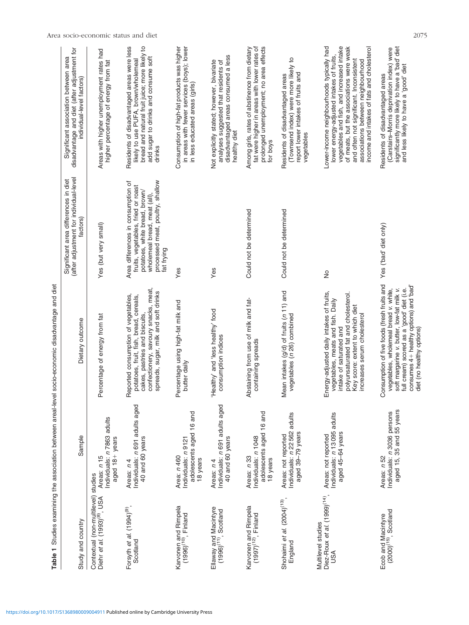|                                                                                               |                                                                           | Table 1 Studies examining the association between areal-level socio-economic disadvantage and diet                                                                                                                                                    |                                                                                                                                                                                             |                                                                                                                                                                                                                                                                                                               |
|-----------------------------------------------------------------------------------------------|---------------------------------------------------------------------------|-------------------------------------------------------------------------------------------------------------------------------------------------------------------------------------------------------------------------------------------------------|---------------------------------------------------------------------------------------------------------------------------------------------------------------------------------------------|---------------------------------------------------------------------------------------------------------------------------------------------------------------------------------------------------------------------------------------------------------------------------------------------------------------|
| Study and country                                                                             | Sample                                                                    | Dietary outcome                                                                                                                                                                                                                                       | (after adjustment for individual-level<br>Significant area differences in diet<br>factors)                                                                                                  | disadvantage and diet (after adjustment for<br>Significant association between area<br>individual-level factors)                                                                                                                                                                                              |
| Contextual (non-multilevel) studies<br>Diehr <i>et al</i> . (1993) <sup>(8)</sup> , USA Areas | Individuals: n 7863 adults<br>aged 18+ years<br>Areas: n 15               | Percentage of energy from fat                                                                                                                                                                                                                         | Yes (but very small)                                                                                                                                                                        | Areas with higher unemployment rates had<br>higher percentage of energy from fat                                                                                                                                                                                                                              |
| Forsyth et al. (1994) <sup>(9)</sup> ,<br>Scotland                                            | Individuals: n 691 adults aged<br>40 and 60 years<br>Areas: n 4           | confectionery, savoury snacks, meat,<br>spreads, sugar, milk and soft drinks<br>Reported consumption of vegetables,<br>potatoes, fruit, fish, bread, cereals,<br>cakes, pastries and biscuits,                                                        | processed meat, poultry, shallow<br>Area differences in consumption of<br>fruits, vegetables, fried or roast<br>potatoes, white bread, brown/<br>wholemeal bread, meat (all),<br>fat frying | Residents of disadvantaged areas were less<br>bread and natural fruit juice; more likely to<br>add sugar to drinks and consume soft<br>likely to use PUFA, brown/wholemeal<br>drinks                                                                                                                          |
| Karvonen and Rimpela<br>(1996) <sup>(10)</sup> , Finland                                      | adolescents aged 16 and<br>Individuals: n 9121<br>Area: n 460<br>18 years | Percentage using high-fat milk and<br>butter daily                                                                                                                                                                                                    | Yes                                                                                                                                                                                         | Consumption of high-fat products was higher<br>in areas with fewer services (boys); lower<br>in less educated areas (girls)                                                                                                                                                                                   |
| Ellaway and Macintyre<br>(1996) <sup>(11)</sup> , Scotland                                    | Individuals: n 691 adults aged<br>40 and 60 years<br>Areas: n 4           | Healthy' and 'less healthy' food<br>consumption indices                                                                                                                                                                                               | Yes                                                                                                                                                                                         | disadvantaged areas consumed a less<br>Not explicitly stated; however, bivariate<br>analyses suggested that residents of<br>healthy diet                                                                                                                                                                      |
| Karvonen and Rimpela<br>(1997) <sup>(12)</sup> , Finland                                      | adolescents aged 16 and<br>Individuals: n 1048<br>Areas: n 33<br>18 years | Abstaining from use of milk and fat-<br>containing spreads                                                                                                                                                                                            | Could not be determined                                                                                                                                                                     | prolonged unemployment; no area effects<br>fat were higher in areas with lower rates of<br>Among girls, rates of abstinence from dietary<br>for boys                                                                                                                                                          |
| Shohaimi et al. (2004) <sup>(13)</sup> ,<br>England                                           | Individuals: n 22562 adults<br>aged 39-79 years<br>Areas: not reported    | Mean intakes (g/d) of fruits (n 11) and<br>vegetables (n 26) combined                                                                                                                                                                                 | Could not be determined                                                                                                                                                                     | (Townsend index) were more likely to<br>report lower intakes of fruits and<br>Residents of disadvantaged areas<br>vegetables                                                                                                                                                                                  |
| Diez-Roux et al. (1999) <sup>(14)</sup> ,<br>Multilevel studies<br>USA                        | Individuals: n 13095 adults<br>aged 45-64 years<br>Areas: not reported    | Energy-adjusted daily intakes of fruits,<br>polyunsaturated fat and cholesterol.<br>vegetables, meats and fish. Daily<br>Key score: extent to which diet<br>increases serum cholesterol<br>intake of saturated and                                    | ş                                                                                                                                                                                           | vegetables and fish, and increased intake<br>of meats, but the associations were weak<br>income and intakes of fats and cholesterol<br>Lower-income neighbourhoods typically had<br>lower energy-adjusted intakes of fruits,<br>and often not significant. Inconsistent<br>associations between neighbourhood |
| Ecob and Macintyre<br>(2000) <sup>(15)</sup> , Scotland                                       | aged 15, 35 and 55 years<br>Individuals: n 3036 persons<br>Areas: n 52    | Consumption of five foods (fresh fruits and<br>consumes 4+ healthy options) and 'bad'<br>soft margarine v. butter, low-fat milk v.<br>full cream) scored as a 'good' diet (i.e.<br>vegetables, wholemeal bread v. white,<br>diet (no healthy options) | Yes ('bad' diet only)                                                                                                                                                                       | significantly more likely to have a 'bad' diet<br>(Carstairs-Morris deprivation index) were<br>and less likely to have a 'good' diet<br>Residents of disadvantaged areas                                                                                                                                      |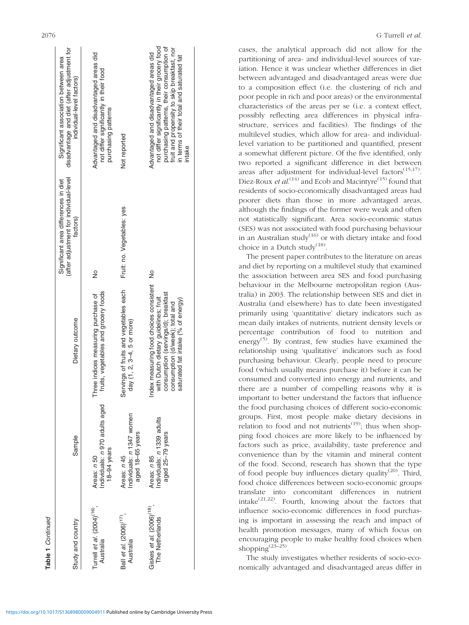| Study and country                                       | Sample                                                       | Dietary outcome                                                                                                                                                                                    | (after adjustment for individual-level<br>Significant area differences in diet<br>factors) | disadvantage and diet (after adjustment for<br>Significant association between area<br>individual-level factors)                                                                                                                           |
|---------------------------------------------------------|--------------------------------------------------------------|----------------------------------------------------------------------------------------------------------------------------------------------------------------------------------------------------|--------------------------------------------------------------------------------------------|--------------------------------------------------------------------------------------------------------------------------------------------------------------------------------------------------------------------------------------------|
| Turrell et al. $(2004)^{(16)}$ ,<br>Australia           | Individuals: n 970 adults aged<br>18-94 years<br>Areas: n 50 | fruits, vegetables and grocery foods<br>Three indices measuring purchase of                                                                                                                        | $\frac{1}{2}$                                                                              | Advantaged and disadvantaged areas did<br>not differ significantly in their food<br>purchasing patterns                                                                                                                                    |
| Ball et al. (2006) <sup>(17)</sup> .<br>Australia       | Individuals: n 1347 women<br>aged 18-65 years<br>Areas: n 45 | Servings of fruits and vegetables each<br>day (1, 2, 3-4, 5 or more)                                                                                                                               | Fruit: no. Vegetables: yes                                                                 | Not reported                                                                                                                                                                                                                               |
| Giskes et al. (2006) <sup>(18)</sup><br>The Netherlands | Individuals: n 1339 adults<br>aged 25-79 years<br>Areas: n85 | Index measuring food choices consistent No<br>consumption (servings/d); breakfast<br>with Dutch dietary guidelines; fruit<br>saturated fat intake (% of energy)<br>consumption (d/week); total and |                                                                                            | not differ significantly in their grocery food<br>purchasing patterns, their consumption of<br>fruit and propensity to skip breakfast, nor<br>Advantaged and disadvantaged areas did<br>in terms of their total and saturated fat<br>ntake |
|                                                         |                                                              |                                                                                                                                                                                                    |                                                                                            |                                                                                                                                                                                                                                            |

Table 1 Continued

Continued

cases, the analytical approach did not allow for the partitioning of area- and individual-level sources of variation. Hence it was unclear whether differences in diet between advantaged and disadvantaged areas were due to a composition effect (i.e. the clustering of rich and poor people in rich and poor areas) or the environmental characteristics of the areas per se (i.e. a context effect, possibly reflecting area differences in physical infrastructure, services and facilities). The findings of the multilevel studies, which allow for area- and individuallevel variation to be partitioned and quantified, present a somewhat different picture. Of the five identified, only two reported a significant difference in diet between areas after adjustment for individual-level factors $(15,17)$ . Diez-Roux *et al.*<sup>(14)</sup> and Ecob and Macintyre<sup>(15)</sup> found that residents of socio-economically disadvantaged areas had poorer diets than those in more advantaged areas, although the findings of the former were weak and often not statistically significant. Area socio-economic status (SES) was not associated with food purchasing behaviour in an Australian study<sup>(16)</sup> or with dietary intake and food choice in a Dutch study<sup>(18)</sup>.

The present paper contributes to the literature on areas and diet by reporting on a multilevel study that examined the association between area SES and food purchasing behaviour in the Melbourne metropolitan region (Australia) in 2003. The relationship between SES and diet in Australia (and elsewhere) has to date been investigated primarily using 'quantitative' dietary indicators such as mean daily intakes of nutrients, nutrient density levels or percentage contribution of food to nutrition and energy<sup> $(5)$ </sup>. By contrast, few studies have examined the relationship using 'qualitative' indicators such as food purchasing behaviour. Clearly, people need to procure food (which usually means purchase it) before it can be consumed and converted into energy and nutrients, and there are a number of compelling reasons why it is important to better understand the factors that influence the food purchasing choices of different socio-economic groups. First, most people make dietary decisions in relation to food and not nutrients<sup> $(19)$ </sup>; thus when shopping food choices are more likely to be influenced by factors such as price, availability, taste preference and convenience than by the vitamin and mineral content of the food. Second, research has shown that the type of food people buy influences dietary quality<sup>(20)</sup>. Third, food choice differences between socio-economic groups translate into concomitant differences in nutrient intake $^{(21,22)}$ . Fourth, knowing about the factors that influence socio-economic differences in food purchasing is important in assessing the reach and impact of health promotion messages, many of which focus on encouraging people to make healthy food choices when shopping $(23-25)$ .

The study investigates whether residents of socio-economically advantaged and disadvantaged areas differ in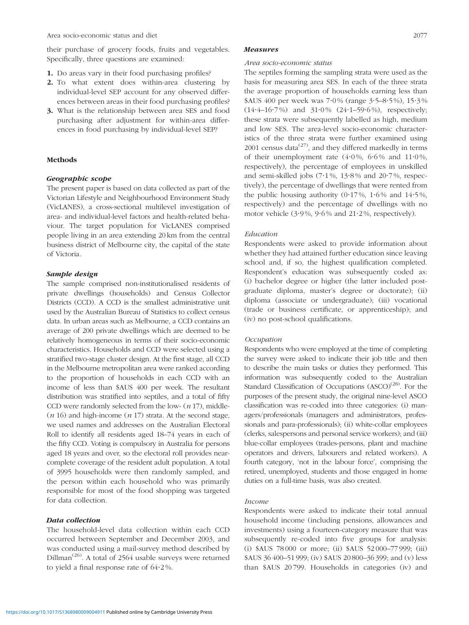their purchase of grocery foods, fruits and vegetables. Specifically, three questions are examined:

- 1. Do areas vary in their food purchasing profiles?
- 2. To what extent does within-area clustering by individual-level SEP account for any observed differences between areas in their food purchasing profiles?
- 3. What is the relationship between area SES and food purchasing after adjustment for within-area differences in food purchasing by individual-level SEP?

#### Methods

#### Geographic scope

The present paper is based on data collected as part of the Victorian Lifestyle and Neighbourhood Environment Study (VicLANES), a cross-sectional multilevel investigation of area- and individual-level factors and health-related behaviour. The target population for VicLANES comprised people living in an area extending 20 km from the central business district of Melbourne city, the capital of the state of Victoria.

#### Sample design

The sample comprised non-institutionalised residents of private dwellings (households) and Census Collector Districts (CCD). A CCD is the smallest administrative unit used by the Australian Bureau of Statistics to collect census data. In urban areas such as Melbourne, a CCD contains an average of 200 private dwellings which are deemed to be relatively homogeneous in terms of their socio-economic characteristics. Households and CCD were selected using a stratified two-stage cluster design. At the first stage, all CCD in the Melbourne metropolitan area were ranked according to the proportion of households in each CCD with an income of less than \$AUS 400 per week. The resultant distribution was stratified into septiles, and a total of fifty CCD were randomly selected from the low-  $(n 17)$ , middle- $(n 16)$  and high-income  $(n 17)$  strata. At the second stage, we used names and addresses on the Australian Electoral Roll to identify all residents aged 18–74 years in each of the fifty CCD. Voting is compulsory in Australia for persons aged 18 years and over, so the electoral roll provides nearcomplete coverage of the resident adult population. A total of 3995 households were then randomly sampled, and the person within each household who was primarily responsible for most of the food shopping was targeted for data collection.

#### Data collection

The household-level data collection within each CCD occurred between September and December 2003, and was conducted using a mail-survey method described by Dillman<sup>(26)</sup>. A total of 2564 usable surveys were returned to yield a final response rate of  $64.2\%$ .

#### Measures

#### Area socio-economic status

The septiles forming the sampling strata were used as the basis for measuring area SES. In each of the three strata the average proportion of households earning less than \$AUS 400 per week was 7?0 % (range 3?5–8?5 %), 15?3 %  $(14.4-16.7%)$  and  $31.0%$   $(24.1-59.6%)$ , respectively; these strata were subsequently labelled as high, medium and low SES. The area-level socio-economic characteristics of the three strata were further examined using 2001 census data $^{(27)}$ , and they differed markedly in terms of their unemployment rate  $(4.0\%, 6.6\%$  and  $11.0\%,$ respectively), the percentage of employees in unskilled and semi-skilled jobs  $(7.1\%, 13.8\%$  and  $20.7\%$ , respectively), the percentage of dwellings that were rented from the public housing authority  $(0.17\%, 1.6\%$  and  $14.5\%,$ respectively) and the percentage of dwellings with no motor vehicle  $(3.9\%, 9.6\% \text{ and } 21.2\%, \text{ respectively}).$ 

### Education

Respondents were asked to provide information about whether they had attained further education since leaving school and, if so, the highest qualification completed. Respondent's education was subsequently coded as: (i) bachelor degree or higher (the latter included postgraduate diploma, master's degree or doctorate); (ii) diploma (associate or undergraduate); (iii) vocational (trade or business certificate, or apprenticeship); and (iv) no post-school qualifications.

#### **Occupation**

Respondents who were employed at the time of completing the survey were asked to indicate their job title and then to describe the main tasks or duties they performed. This information was subsequently coded to the Australian Standard Classification of Occupations  $(ASCO)^{(28)}$ . For the purposes of the present study, the original nine-level ASCO classification was re-coded into three categories: (i) managers/professionals (managers and administrators, professionals and para-professionals); (ii) white-collar employees (clerks, salespersons and personal service workers); and (iii) blue-collar employees (trades-persons, plant and machine operators and drivers, labourers and related workers). A fourth category, 'not in the labour force', comprising the retired, unemployed, students and those engaged in home duties on a full-time basis, was also created.

#### Income

Respondents were asked to indicate their total annual household income (including pensions, allowances and investments) using a fourteen-category measure that was subsequently re-coded into five groups for analysis: (i) \$AUS 78 000 or more; (ii) \$AUS 52 000–77 999; (iii) \$AUS 36 400–51 999; (iv) \$AUS 20 800–36 399; and (v) less than \$AUS 20 799. Households in categories (iv) and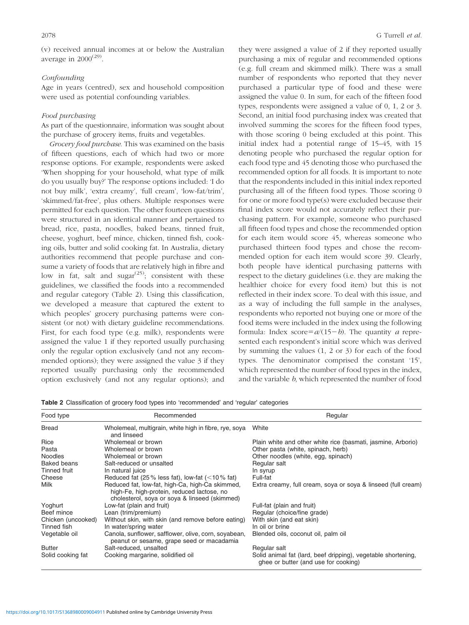(v) received annual incomes at or below the Australian average in  $2000^{(29)}$ .

#### Confounding

Age in years (centred), sex and household composition were used as potential confounding variables.

#### Food purchasing

As part of the questionnaire, information was sought about the purchase of grocery items, fruits and vegetables.

Grocery food purchase. This was examined on the basis of fifteen questions, each of which had two or more response options. For example, respondents were asked 'When shopping for your household, what type of milk do you usually buy?' The response options included: 'I do not buy milk', 'extra creamy', 'full cream', 'low-fat/trim', 'skimmed/fat-free', plus others. Multiple responses were permitted for each question. The other fourteen questions were structured in an identical manner and pertained to bread, rice, pasta, noodles, baked beans, tinned fruit, cheese, yoghurt, beef mince, chicken, tinned fish, cooking oils, butter and solid cooking fat. In Australia, dietary authorities recommend that people purchase and consume a variety of foods that are relatively high in fibre and low in fat, salt and sugar<sup> $(25)$ </sup>; consistent with these guidelines, we classified the foods into a recommended and regular category (Table 2). Using this classification, we developed a measure that captured the extent to which peoples' grocery purchasing patterns were consistent (or not) with dietary guideline recommendations. First, for each food type (e.g. milk), respondents were assigned the value 1 if they reported usually purchasing only the regular option exclusively (and not any recommended options); they were assigned the value 3 if they reported usually purchasing only the recommended option exclusively (and not any regular options); and

they were assigned a value of 2 if they reported usually purchasing a mix of regular and recommended options (e.g. full cream and skimmed milk). There was a small number of respondents who reported that they never purchased a particular type of food and these were assigned the value 0. In sum, for each of the fifteen food types, respondents were assigned a value of 0, 1, 2 or 3. Second, an initial food purchasing index was created that involved summing the scores for the fifteen food types, with those scoring 0 being excluded at this point. This initial index had a potential range of 15–45, with 15 denoting people who purchased the regular option for each food type and 45 denoting those who purchased the recommended option for all foods. It is important to note that the respondents included in this initial index reported purchasing all of the fifteen food types. Those scoring 0 for one or more food type(s) were excluded because their final index score would not accurately reflect their purchasing pattern. For example, someone who purchased all fifteen food types and chose the recommended option for each item would score 45, whereas someone who purchased thirteen food types and chose the recommended option for each item would score 39. Clearly, both people have identical purchasing patterns with respect to the dietary guidelines (i.e. they are making the healthier choice for every food item) but this is not reflected in their index score. To deal with this issue, and as a way of including the full sample in the analyses, respondents who reported not buying one or more of the food items were included in the index using the following formula: Index score= $a/(15-b)$ . The quantity a represented each respondent's initial score which was derived by summing the values (1, 2 or 3) for each of the food types. The denominator comprised the constant '15', which represented the number of food types in the index, and the variable b, which represented the number of food

|  |  |  |  |  |  |  | Table 2 Classification of grocery food types into 'recommended' and 'regular' categories |  |  |  |
|--|--|--|--|--|--|--|------------------------------------------------------------------------------------------|--|--|--|
|--|--|--|--|--|--|--|------------------------------------------------------------------------------------------|--|--|--|

| Food type          | Recommended                                                                                                                                    | Regular                                                                                               |
|--------------------|------------------------------------------------------------------------------------------------------------------------------------------------|-------------------------------------------------------------------------------------------------------|
| <b>Bread</b>       | Wholemeal, multigrain, white high in fibre, rye, soya<br>and linseed                                                                           | White                                                                                                 |
| Rice               | Wholemeal or brown                                                                                                                             | Plain white and other white rice (basmati, jasmine, Arborio)                                          |
| Pasta              | Wholemeal or brown                                                                                                                             | Other pasta (white, spinach, herb)                                                                    |
| <b>Noodles</b>     | Wholemeal or brown                                                                                                                             | Other noodles (white, egg, spinach)                                                                   |
| <b>Baked beans</b> | Salt-reduced or unsalted                                                                                                                       | Regular salt                                                                                          |
| Tinned fruit       | In natural juice                                                                                                                               | In syrup                                                                                              |
| Cheese             | Reduced fat (25% less fat), low-fat ( $<$ 10% fat)                                                                                             | Full-fat                                                                                              |
| Milk               | Reduced fat, low-fat, high-Ca, high-Ca skimmed,<br>high-Fe, high-protein, reduced lactose, no<br>cholesterol, sova or sova & linseed (skimmed) | Extra creamy, full cream, soya or soya & linseed (full cream)                                         |
| Yoghurt            | Low-fat (plain and fruit)                                                                                                                      | Full-fat (plain and fruit)                                                                            |
| Beef mince         | Lean (trim/premium)                                                                                                                            | Regular (choice/fine grade)                                                                           |
| Chicken (uncooked) | Without skin, with skin (and remove before eating)                                                                                             | With skin (and eat skin)                                                                              |
| Tinned fish        | In water/spring water                                                                                                                          | In oil or brine                                                                                       |
| Vegetable oil      | Canola, sunflower, safflower, olive, corn, soyabean,<br>peanut or sesame, grape seed or macadamia                                              | Blended oils, coconut oil, palm oil                                                                   |
| <b>Butter</b>      | Salt-reduced, unsalted                                                                                                                         | Regular salt                                                                                          |
| Solid cooking fat  | Cooking margarine, solidified oil                                                                                                              | Solid animal fat (lard, beef dripping), vegetable shortening,<br>ghee or butter (and use for cooking) |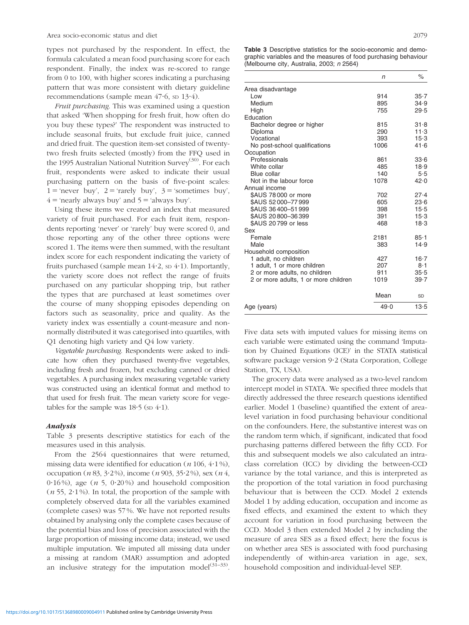types not purchased by the respondent. In effect, the formula calculated a mean food purchasing score for each respondent. Finally, the index was re-scored to range from 0 to 100, with higher scores indicating a purchasing pattern that was more consistent with dietary guideline recommendations (sample mean 47.6, sp 13.4).

Fruit purchasing. This was examined using a question that asked 'When shopping for fresh fruit, how often do you buy these types?' The respondent was instructed to include seasonal fruits, but exclude fruit juice, canned and dried fruit. The question item-set consisted of twentytwo fresh fruits selected (mostly) from the FFQ used in the 1995 Australian National Nutrition Survey<sup>(30)</sup>. For each fruit, respondents were asked to indicate their usual purchasing pattern on the basis of five-point scales:  $1 = 'never$  buy',  $2 = 'rarely$  buy',  $3 = 'sometimes$  buy',  $4$  = 'nearly always buy' and  $5$  = 'always buy'.

Using these items we created an index that measured variety of fruit purchased. For each fruit item, respondents reporting 'never' or 'rarely' buy were scored 0, and those reporting any of the other three options were scored 1. The items were then summed, with the resultant index score for each respondent indicating the variety of fruits purchased (sample mean  $14.2$ , sp  $4.1$ ). Importantly, the variety score does not reflect the range of fruits purchased on any particular shopping trip, but rather the types that are purchased at least sometimes over the course of many shopping episodes depending on factors such as seasonality, price and quality. As the variety index was essentially a count-measure and nonnormally distributed it was categorised into quartiles, with Q1 denoting high variety and Q4 low variety.

Vegetable purchasing. Respondents were asked to indicate how often they purchased twenty-five vegetables, including fresh and frozen, but excluding canned or dried vegetables. A purchasing index measuring vegetable variety was constructed using an identical format and method to that used for fresh fruit. The mean variety score for vegetables for the sample was  $18.5$  (sp  $4.1$ ).

#### Analysis

Table 3 presents descriptive statistics for each of the measures used in this analysis.

From the 2564 questionnaires that were returned, missing data were identified for education  $(n 106, 4.1\%)$ , occupation (n 83, 3 $\cdot$ 2%), income (n 903, 35 $\cdot$ 2%), sex (n 4, 0.16%), age ( $n$  5, 0.20%) and household composition  $(n 55, 2.1\%)$ . In total, the proportion of the sample with completely observed data for all the variables examined (complete cases) was 57 %. We have not reported results obtained by analysing only the complete cases because of the potential bias and loss of precision associated with the large proportion of missing income data; instead, we used multiple imputation. We imputed all missing data under a missing at random (MAR) assumption and adopted an inclusive strategy for the imputation model $(31-33)$ . Table 3 Descriptive statistics for the socio-economic and demographic variables and the measures of food purchasing behaviour (Melbourne city, Australia, 2003; n 2564)

|                                      | n    | $\%$     |
|--------------------------------------|------|----------|
| Area disadvantage                    |      |          |
| Low                                  | 914  | $35 - 7$ |
| Medium                               | 895  | 34.9     |
| High                                 | 755  | 29.5     |
| Education                            |      |          |
| Bachelor degree or higher            | 815  | 31.8     |
| Diploma                              | 290  | 11.3     |
| Vocational                           | 393  | $15-3$   |
| No post-school qualifications        | 1006 | 41.6     |
| Occupation                           |      |          |
| Professionals                        | 861  | 33.6     |
| White collar                         | 485  | 18.9     |
| Blue collar                          | 140  | 5.5      |
| Not in the labour force              | 1078 | 42.0     |
| Annual income                        |      |          |
| \$AUS 78 000 or more                 | 702  | 27.4     |
| \$AUS 52000-77999                    | 605  | 23.6     |
| \$AUS 36400-51999                    | 398  | $15-5$   |
| \$AUS 20800-36399                    | 391  | 15.3     |
| \$AUS 20799 or less                  | 468  | 18.3     |
| Sex                                  |      |          |
| Female                               | 2181 | $85 - 1$ |
| Male                                 | 383  | 14.9     |
| Household composition                |      |          |
| 1 adult, no children                 | 427  | $16 - 7$ |
| 1 adult, 1 or more children          | 207  | 8·1      |
| 2 or more adults, no children        | 911  | 35.5     |
| 2 or more adults, 1 or more children | 1019 | 39.7     |
|                                      | Mean | SD       |
| Age (years)                          | 49.0 | 13.5     |

Five data sets with imputed values for missing items on each variable were estimated using the command 'Imputation by Chained Equations (ICE)' in the STATA statistical software package version 9.2 (Stata Corporation, College Station, TX, USA).

The grocery data were analysed as a two-level random intercept model in STATA. We specified three models that directly addressed the three research questions identified earlier. Model 1 (baseline) quantified the extent of arealevel variation in food purchasing behaviour conditional on the confounders. Here, the substantive interest was on the random term which, if significant, indicated that food purchasing patterns differed between the fifty CCD. For this and subsequent models we also calculated an intraclass correlation (ICC) by dividing the between-CCD variance by the total variance, and this is interpreted as the proportion of the total variation in food purchasing behaviour that is between the CCD. Model 2 extends Model 1 by adding education, occupation and income as fixed effects, and examined the extent to which they account for variation in food purchasing between the CCD. Model 3 then extended Model 2 by including the measure of area SES as a fixed effect; here the focus is on whether area SES is associated with food purchasing independently of within-area variation in age, sex, household composition and individual-level SEP.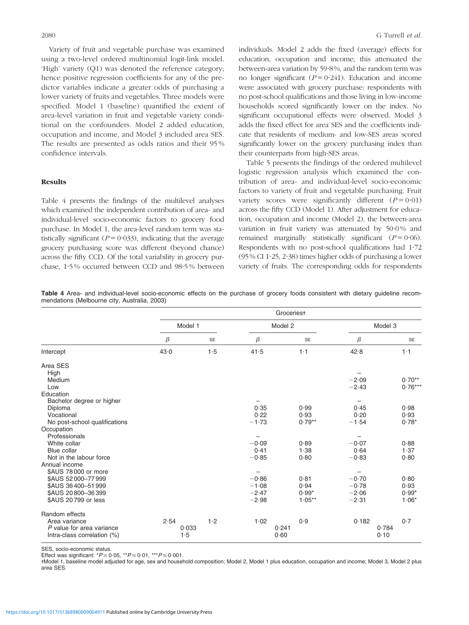Variety of fruit and vegetable purchase was examined using a two-level ordered multinomial logit-link model. 'High' variety (Q1) was denoted the reference category; hence positive regression coefficients for any of the predictor variables indicate a greater odds of purchasing a lower variety of fruits and vegetables. Three models were specified. Model 1 (baseline) quantified the extent of area-level variation in fruit and vegetable variety conditional on the confounders. Model 2 added education, occupation and income, and Model 3 included area SES. The results are presented as odds ratios and their 95 % confidence intervals.

#### Results

Table 4 presents the findings of the multilevel analyses which examined the independent contribution of area- and individual-level socio-economic factors to grocery food purchase. In Model 1, the area-level random term was statistically significant ( $P = 0.033$ ), indicating that the average grocery purchasing score was different (beyond chance) across the fifty CCD. Of the total variability in grocery purchase, 1?5 % occurred between CCD and 98?5 % between individuals. Model 2 adds the fixed (average) effects for education, occupation and income; this attenuated the between-area variation by 59?8 %, and the random term was no longer significant ( $P = 0.241$ ). Education and income were associated with grocery purchase: respondents with no post-school qualifications and those living in low-income households scored significantly lower on the index. No significant occupational effects were observed. Model 3 adds the fixed effect for area SES and the coefficients indicate that residents of medium- and low-SES areas scored significantly lower on the grocery purchasing index than their counterparts from high-SES areas.

Table 5 presents the findings of the ordered multilevel logistic regression analysis which examined the contribution of area- and individual-level socio-economic factors to variety of fruit and vegetable purchasing. Fruit variety scores were significantly different  $(P = 0.01)$ across the fifty CCD (Model 1). After adjustment for education, occupation and income (Model 2), the between-area variation in fruit variety was attenuated by 50.0% and remained marginally statistically significant  $(P = 0.06)$ . Respondents with no post-school qualifications had 1?72 (95 % CI 1 $\cdot$ 25, 2 $\cdot$ 38) times higher odds of purchasing a lower variety of fruits. The corresponding odds for respondents

Table 4 Area- and individual-level socio-economic effects on the purchase of grocery foods consistent with dietary guideline recommendations (Melbourne city, Australia, 2003)

|                               |         |           |         | Groceriest |         |           |
|-------------------------------|---------|-----------|---------|------------|---------|-----------|
|                               | Model 1 |           |         | Model 2    | Model 3 |           |
|                               | β       | <b>SE</b> | β       | <b>SE</b>  | $\beta$ | <b>SE</b> |
| Intercept                     | 43.0    | 1.5       | 41.5    | $1 - 1$    | 42.8    | $1-1$     |
| Area SES                      |         |           |         |            |         |           |
| High                          |         |           |         |            |         |           |
| Medium                        |         |           |         |            | $-2.09$ | $0.70**$  |
| Low                           |         |           |         |            | $-2.43$ | $0.76***$ |
| Education                     |         |           |         |            |         |           |
| Bachelor degree or higher     |         |           |         |            |         |           |
| Diploma                       |         |           | 0.35    | 0.99       | 0.45    | 0.98      |
| Vocational                    |         |           | 0.22    | 0.93       | 0.20    | 0.93      |
| No post-school qualifications |         |           | $-1.73$ | $0.79**$   | $-1.54$ | $0.78*$   |
| Occupation                    |         |           |         |            |         |           |
| Professionals                 |         |           | —       |            | -       |           |
| White collar                  |         |           | $-0.09$ | 0.89       | $-0.07$ | 0.88      |
| Blue collar                   |         |           | 0.41    | 1.38       | 0.64    | 1.37      |
| Not in the labour force       |         |           | $-0.85$ | 0.80       | $-0.83$ | 0.80      |
| Annual income                 |         |           |         |            |         |           |
| \$AUS 78000 or more           |         |           |         |            |         |           |
| \$AUS 52000-77999             |         |           | $-0.86$ | 0.81       | $-0.70$ | 0.80      |
| \$AUS 36400-51999             |         |           | $-1.08$ | 0.94       | $-0.78$ | 0.93      |
| \$AUS 20800-36399             |         |           | $-2.47$ | $0.99*$    | $-2.06$ | $0.99*$   |
| \$AUS 20799 or less           |         |           | $-2.98$ | $1.05***$  | $-2.31$ | $1.06*$   |
| Random effects                |         |           |         |            |         |           |
| Area variance                 | 2.54    | 1.2       | 1.02    | 0.9        | 0.182   | 0.7       |
| P value for area variance     | 0.033   |           | 0.241   |            | 0.784   |           |
| Intra-class correlation (%)   | 1.5     |           | 0.60    |            | 0.10    |           |

SES, socio-economic status.

Effect was significant:  $P \le 0.05$ ,  $*P \le 0.01$ ,  $**P \le 0.001$ .

-Model 1, baseline model adjusted for age, sex and household composition; Model 2, Model 1 plus education, occupation and income; Model 3, Model 2 plus area SES.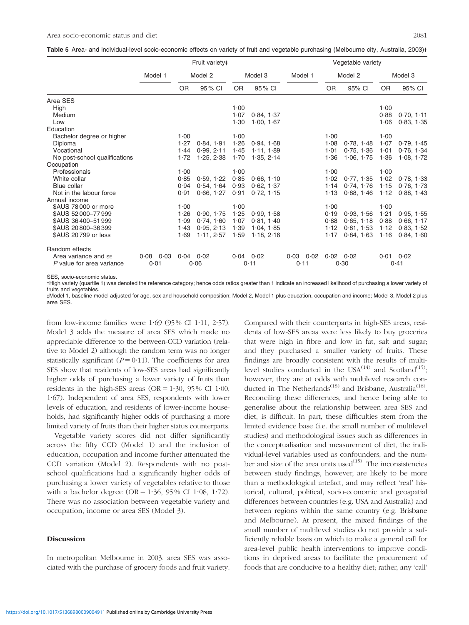Table 5 Area- and individual-level socio-economic effects on variety of fruit and vegetable purchasing (Melbourne city, Australia, 2003)t

|                               |               |               | Fruit variety# |           |               |                   |           | Vegetable variety |           |               |
|-------------------------------|---------------|---------------|----------------|-----------|---------------|-------------------|-----------|-------------------|-----------|---------------|
|                               | Model 1       |               | Model 2        |           | Model 3       | Model 1           |           | Model 2           |           | Model 3       |
|                               |               | <b>OR</b>     | 95 % CI        | <b>OR</b> | 95 % CI       |                   | <b>OR</b> | 95% CI            | <b>OR</b> | 95% CI        |
| Area SES                      |               |               |                |           |               |                   |           |                   |           |               |
| High                          |               |               |                | 1.00      |               |                   |           |                   | 1.00      |               |
| Medium                        |               |               |                | 1.07      | 0.84, 1.37    |                   |           |                   | 0.88      | 0.70, 1.11    |
| Low                           |               |               |                | 1.30      | 1.00, 1.67    |                   |           |                   | 1.06      | 0.83, 1.35    |
| Education                     |               |               |                |           |               |                   |           |                   |           |               |
| Bachelor degree or higher     |               | 1.00          |                | 1.00      |               |                   | 1.00      |                   | 1.00      |               |
| Diploma                       |               | 1.27          | 0.84, 1.91     | 1.26      | 0.94, 1.68    |                   | 1.08      | 0.78.1.48         | 1.07      | 0.79, 1.45    |
| Vocational                    |               | 1.44          | 0.99, 2.11     | 1.45      | 1.11, 1.89    |                   | 1.01      | 0.75, 1.36        | 1.01      | 0.76, 1.34    |
| No post-school qualifications |               | 1.72          | 1.25, 2.38     | 1.70      | 1.35.2.14     |                   | 1.36      | 1.06.1.75         | 1.36      | 1.08.1.72     |
| Occupation                    |               |               |                |           |               |                   |           |                   |           |               |
| Professionals                 |               | 1.00          |                | 1.00      |               |                   | 1.00      |                   | 1.00      |               |
| White collar                  |               | 0.85          | 0.59, 1.22     | 0.85      | 0.66, 1.10    |                   | 1.02      | 0.77, 1.35        | 1.02      | 0.78, 1.33    |
| Blue collar                   |               | 0.94          | 0.54.164       | 0.93      | 0.62, 1.37    |                   | 1.14      | 0.74.1.76         | 1.15      | 0.76, 1.73    |
| Not in the labour force       |               | 0.91          | 0.66, 1.27     | 0.91      | 0.72, 1.15    |                   | 1.13      | 0.88, 1.46        | 1.12      | 0.88, 1.43    |
| Annual income                 |               |               |                |           |               |                   |           |                   |           |               |
| \$AUS 78000 or more           |               | 1.00          |                | 1.00      |               |                   | 1.00      |                   | 1.00      |               |
| \$AUS 52000-77999             |               | 1.26          | 0.90.1.75      | 1.25      | 0.99, 1.58    |                   | 0.19      | 0.93.1.56         | 1.21      | 0.95, 1.55    |
| \$AUS 36400-51999             |               | 1.09          | 0.74, 1.60     | 1.07      | 0.81, 1.40    |                   | 0.88      | 0.65.118          | 0.88      | 0.66, 1.17    |
| \$AUS 20800-36399             |               | 1.43          | 0.95, 2.13     | 1.39      | 1.04, 1.85    |                   | 1.12      | 0.81.1.53         | 1.12      | 0.83, 1.52    |
| \$AUS 20799 or less           |               | 1.69          | 1.11, 2.57     | 1.59      | 1.18, 2.16    |                   | 1.17      | 0.84, 1.63        | 1.16      | 0.84, 1.60    |
| Random effects                |               |               |                |           |               |                   |           |                   |           |               |
| Area variance and se          | $0.08$ $0.03$ | $0.04$ $0.02$ |                |           | $0.04$ $0.02$ | $0.03 \quad 0.02$ |           | $0.02 \quad 0.02$ |           | $0.01$ $0.02$ |
| P value for area variance     | 0.01          |               | 0.06           |           | 0.11          | 0.11              |           | 0.30              |           | 0.41          |

SES, socio-economic status.

-High variety (quartile 1) was denoted the reference category; hence odds ratios greater than 1 indicate an increased likelihood of purchasing a lower variety of fruits and vegetables.

- - Model 1, baseline model adjusted for age, sex and household composition; Model 2, Model 1 plus education, occupation and income; Model 3, Model 2 plus area SES.

from low-income families were  $1.69$  (95% CI 1.11, 2.57). Model 3 adds the measure of area SES which made no appreciable difference to the between-CCD variation (relative to Model 2) although the random term was no longer statistically significant ( $P = 0.11$ ). The coefficients for area SES show that residents of low-SES areas had significantly higher odds of purchasing a lower variety of fruits than residents in the high-SES areas (OR =  $1.30$ , 95% CI 1.00, 1?67). Independent of area SES, respondents with lower levels of education, and residents of lower-income households, had significantly higher odds of purchasing a more limited variety of fruits than their higher status counterparts.

Vegetable variety scores did not differ significantly across the fifty CCD (Model 1) and the inclusion of education, occupation and income further attenuated the CCD variation (Model 2). Respondents with no postschool qualifications had a significantly higher odds of purchasing a lower variety of vegetables relative to those with a bachelor degree (OR =  $1.36$ , 95% CI 1.08, 1.72). There was no association between vegetable variety and occupation, income or area SES (Model 3).

#### **Discussion**

In metropolitan Melbourne in 2003, area SES was associated with the purchase of grocery foods and fruit variety. Compared with their counterparts in high-SES areas, residents of low-SES areas were less likely to buy groceries that were high in fibre and low in fat, salt and sugar; and they purchased a smaller variety of fruits. These findings are broadly consistent with the results of multilevel studies conducted in the USA $^{(14)}$  and Scotland $^{(15)}$ ; however, they are at odds with multilevel research conducted in The Netherlands<sup>(18)</sup> and Brisbane, Australia<sup>(16)</sup>. Reconciling these differences, and hence being able to generalise about the relationship between area SES and diet, is difficult. In part, these difficulties stem from the limited evidence base (i.e. the small number of multilevel studies) and methodological issues such as differences in the conceptualisation and measurement of diet, the individual-level variables used as confounders, and the number and size of the area units used $(15)$ . The inconsistencies between study findings, however, are likely to be more than a methodological artefact, and may reflect 'real' historical, cultural, political, socio-economic and geospatial differences between countries (e.g. USA and Australia) and between regions within the same country (e.g. Brisbane and Melbourne). At present, the mixed findings of the small number of multilevel studies do not provide a sufficiently reliable basis on which to make a general call for area-level public health interventions to improve conditions in deprived areas to facilitate the procurement of foods that are conducive to a healthy diet; rather, any 'call'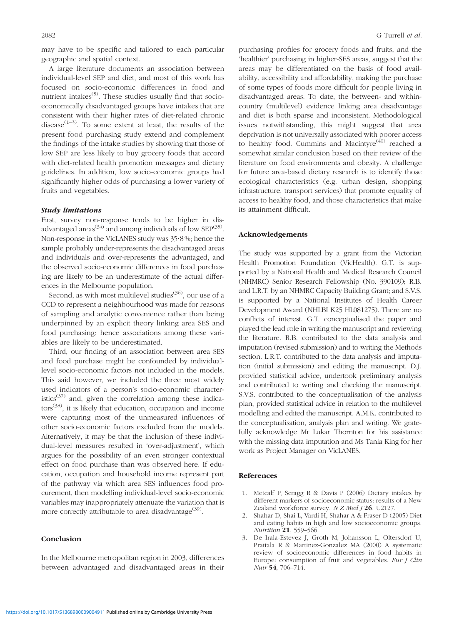may have to be specific and tailored to each particular geographic and spatial context.

A large literature documents an association between individual-level SEP and diet, and most of this work has focused on socio-economic differences in food and nutrient intakes $(5)$ . These studies usually find that socioeconomically disadvantaged groups have intakes that are consistent with their higher rates of diet-related chronic disease<sup> $(1-3)$ </sup>. To some extent at least, the results of the present food purchasing study extend and complement the findings of the intake studies by showing that those of low SEP are less likely to buy grocery foods that accord with diet-related health promotion messages and dietary guidelines. In addition, low socio-economic groups had significantly higher odds of purchasing a lower variety of fruits and vegetables.

#### Study limitations

First, survey non-response tends to be higher in disadvantaged areas<sup>(34)</sup> and among individuals of low SEP<sup>(35)</sup>. Non-response in the VicLANES study was 35?8 %; hence the sample probably under-represents the disadvantaged areas and individuals and over-represents the advantaged, and the observed socio-economic differences in food purchasing are likely to be an underestimate of the actual differences in the Melbourne population.

Second, as with most multilevel studies<sup>(36)</sup>, our use of a CCD to represent a neighbourhood was made for reasons of sampling and analytic convenience rather than being underpinned by an explicit theory linking area SES and food purchasing; hence associations among these variables are likely to be underestimated.

Third, our finding of an association between area SES and food purchase might be confounded by individuallevel socio-economic factors not included in the models. This said however, we included the three most widely used indicators of a person's socio-economic characteristics<sup>(37)</sup> and, given the correlation among these indicators(38), it is likely that education, occupation and income were capturing most of the unmeasured influences of other socio-economic factors excluded from the models. Alternatively, it may be that the inclusion of these individual-level measures resulted in 'over-adjustment', which argues for the possibility of an even stronger contextual effect on food purchase than was observed here. If education, occupation and household income represent part of the pathway via which area SES influences food procurement, then modelling individual-level socio-economic variables may inappropriately attenuate the variation that is more correctly attributable to area disadvantage<sup>(39)</sup>.

#### Conclusion

In the Melbourne metropolitan region in 2003, differences between advantaged and disadvantaged areas in their

purchasing profiles for grocery foods and fruits, and the 'healthier' purchasing in higher-SES areas, suggest that the areas may be differentiated on the basis of food availability, accessibility and affordability, making the purchase of some types of foods more difficult for people living in disadvantaged areas. To date, the between- and withincountry (multilevel) evidence linking area disadvantage and diet is both sparse and inconsistent. Methodological issues notwithstanding, this might suggest that area deprivation is not universally associated with poorer access to healthy food. Cummins and Macintyre<sup> $(40)$ </sup> reached a somewhat similar conclusion based on their review of the literature on food environments and obesity. A challenge for future area-based dietary research is to identify those ecological characteristics (e.g. urban design, shopping infrastructure, transport services) that promote equality of access to healthy food, and those characteristics that make its attainment difficult.

#### Acknowledgements

The study was supported by a grant from the Victorian Health Promotion Foundation (VicHealth). G.T. is supported by a National Health and Medical Research Council (NHMRC) Senior Research Fellowship (No. 390109); R.B. and L.R.T. by an NHMRC Capacity Building Grant; and S.V.S. is supported by a National Institutes of Health Career Development Award (NHLBI K25 HL081275). There are no conflicts of interest. G.T. conceptualised the paper and played the lead role in writing the manuscript and reviewing the literature. R.B. contributed to the data analysis and imputation (revised submission) and to writing the Methods section. L.R.T. contributed to the data analysis and imputation (initial submission) and editing the manuscript. D.J. provided statistical advice, undertook preliminary analysis and contributed to writing and checking the manuscript. S.V.S. contributed to the conceptualisation of the analysis plan, provided statistical advice in relation to the multilevel modelling and edited the manuscript. A.M.K. contributed to the conceptualisation, analysis plan and writing. We gratefully acknowledge Mr Lukar Thornton for his assistance with the missing data imputation and Ms Tania King for her work as Project Manager on VicLANES.

#### References

- 1. Metcalf P, Scragg R & Davis P (2006) Dietary intakes by different markers of socioeconomic status: results of a New Zealand workforce survey.  $N Z Med J$  26, U2127.
- 2. Shahar D, Shai L, Vardi H, Shahar A & Fraser D (2005) Diet and eating habits in high and low socioeconomic groups. Nutrition 21, 559–566.
- 3. De Irala-Estevez J, Groth M, Johansson L, Oltersdorf U, Prattala R & Martinez-Gonzalez MA (2000) A systematic review of socioeconomic differences in food habits in Europe: consumption of fruit and vegetables. Eur J Clin Nutr 54, 706–714.